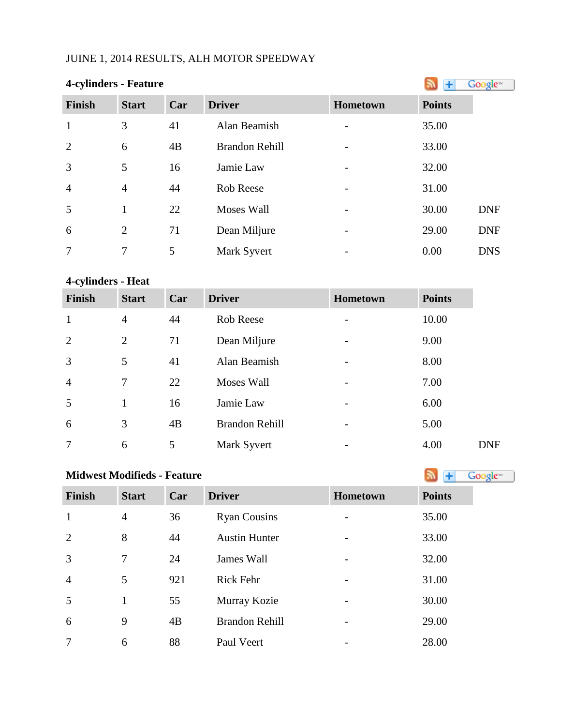# JUINE 1, 2014 RESULTS, ALH MOTOR SPEEDWAY

| 4-cylinders - Feature |                |     |                       |          |               | Google <sup>®</sup> |
|-----------------------|----------------|-----|-----------------------|----------|---------------|---------------------|
| <b>Finish</b>         | <b>Start</b>   | Car | <b>Driver</b>         | Hometown | <b>Points</b> |                     |
| $\mathbf{1}$          | 3              | 41  | Alan Beamish          |          | 35.00         |                     |
| $\overline{2}$        | 6              | 4B  | <b>Brandon Rehill</b> |          | 33.00         |                     |
| 3                     | 5              | 16  | Jamie Law             |          | 32.00         |                     |
| $\overline{4}$        | $\overline{4}$ | 44  | <b>Rob Reese</b>      |          | 31.00         |                     |
| 5                     | $\mathbf{1}$   | 22  | <b>Moses Wall</b>     |          | 30.00         | <b>DNF</b>          |
| 6                     | $\overline{2}$ | 71  | Dean Miljure          |          | 29.00         | <b>DNF</b>          |
| $\overline{7}$        | 7              | 5   | Mark Syvert           |          | 0.00          | <b>DNS</b>          |

# **4-cylinders - Heat**

| <b>Finish</b>  | <b>Start</b>   | Car | <b>Driver</b>         | Hometown                 | <b>Points</b> |            |
|----------------|----------------|-----|-----------------------|--------------------------|---------------|------------|
| 1              | $\overline{4}$ | 44  | Rob Reese             |                          | 10.00         |            |
| 2              | $\overline{2}$ | 71  | Dean Miljure          |                          | 9.00          |            |
| 3              | 5              | 41  | Alan Beamish          |                          | 8.00          |            |
| $\overline{4}$ | 7              | 22  | Moses Wall            |                          | 7.00          |            |
| 5              | $\mathbf{1}$   | 16  | Jamie Law             |                          | 6.00          |            |
| 6              | 3              | 4B  | <b>Brandon Rehill</b> | $\overline{\phantom{0}}$ | 5.00          |            |
| 7              | 6              | 5   | Mark Syvert           | $\overline{\phantom{0}}$ | 4.00          | <b>DNF</b> |

| <b>Midwest Modifieds - Feature</b> | Google <sup>**</sup> |     |                       |          |               |
|------------------------------------|----------------------|-----|-----------------------|----------|---------------|
| <b>Finish</b>                      | <b>Start</b>         | Car | <b>Driver</b>         | Hometown | <b>Points</b> |
| $\mathbf{1}$                       | $\overline{4}$       | 36  | <b>Ryan Cousins</b>   |          | 35.00         |
| $\overline{2}$                     | 8                    | 44  | <b>Austin Hunter</b>  |          | 33.00         |
| 3                                  | $\tau$               | 24  | James Wall            |          | 32.00         |
| $\overline{4}$                     | 5                    | 921 | <b>Rick Fehr</b>      |          | 31.00         |
| 5                                  | 1                    | 55  | Murray Kozie          |          | 30.00         |
| 6                                  | 9                    | 4B  | <b>Brandon Rehill</b> |          | 29.00         |
| 7                                  | 6                    | 88  | Paul Veert            |          | 28.00         |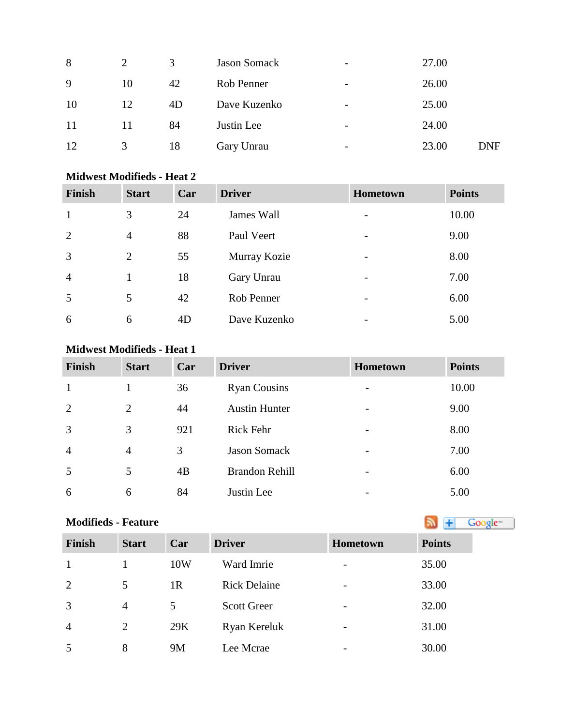| 2  | 3  | <b>Jason Somack</b> | $\overline{\phantom{0}}$ | 27.00 |            |
|----|----|---------------------|--------------------------|-------|------------|
| 10 | 42 | Rob Penner          | $\overline{\phantom{a}}$ | 26.00 |            |
| 12 | 4D | Dave Kuzenko        | $\overline{\phantom{0}}$ | 25.00 |            |
| 11 | 84 | Justin Lee          | $\overline{\phantom{0}}$ | 24.00 |            |
| 3  | 18 | Gary Unrau          | $\overline{\phantom{0}}$ | 23.00 | <b>DNF</b> |
|    |    |                     |                          |       |            |

## **Midwest Modifieds - Heat 2**

| <b>Finish</b>  | <b>Start</b>   | Car | <b>Driver</b> | <b>Hometown</b>          | <b>Points</b> |
|----------------|----------------|-----|---------------|--------------------------|---------------|
| 1              | 3              | 24  | James Wall    |                          | 10.00         |
| $\overline{2}$ | $\overline{4}$ | 88  | Paul Veert    |                          | 9.00          |
| 3              | 2              | 55  | Murray Kozie  |                          | 8.00          |
| $\overline{4}$ |                | 18  | Gary Unrau    |                          | 7.00          |
| 5              | 5              | 42  | Rob Penner    | $\overline{\phantom{0}}$ | 6.00          |
| 6              | 6              | 4D  | Dave Kuzenko  |                          | 5.00          |

## **Midwest Modifieds - Heat 1**

| <b>Finish</b>  | <b>Start</b>   | Car             | <b>Driver</b>         | Hometown                 | <b>Points</b> |
|----------------|----------------|-----------------|-----------------------|--------------------------|---------------|
|                |                | 36              | <b>Ryan Cousins</b>   | $\overline{\phantom{0}}$ | 10.00         |
| 2              | 2              | 44              | <b>Austin Hunter</b>  | $\overline{\phantom{0}}$ | 9.00          |
| 3              | 3              | 921             | <b>Rick Fehr</b>      | $\overline{\phantom{0}}$ | 8.00          |
| $\overline{4}$ | $\overline{4}$ | 3               | <b>Jason Somack</b>   | $\overline{\phantom{0}}$ | 7.00          |
| 5              | 5              | $\overline{AB}$ | <b>Brandon Rehill</b> | -                        | 6.00          |
| 6              | 6              | 84              | Justin Lee            |                          | 5.00          |

| <b>Modifieds - Feature</b> |              |                |                     |                          | Google <sup>-1</sup> |
|----------------------------|--------------|----------------|---------------------|--------------------------|----------------------|
| <b>Finish</b>              | <b>Start</b> | Car            | <b>Driver</b>       | <b>Hometown</b>          | <b>Points</b>        |
| $\mathbf{1}$               |              | 10W            | Ward Imrie          | $\overline{\phantom{a}}$ | 35.00                |
| 2                          | 5            | 1 <sub>R</sub> | <b>Rick Delaine</b> | $\overline{\phantom{a}}$ | 33.00                |
| 3                          | 4            | 5              | <b>Scott Greer</b>  | $\overline{\phantom{a}}$ | 32.00                |
| $\overline{4}$             | 2            | 29K            | Ryan Kereluk        | $\overline{\phantom{a}}$ | 31.00                |
| 5                          | 8            | 9M             | Lee Mcrae           | -                        | 30.00                |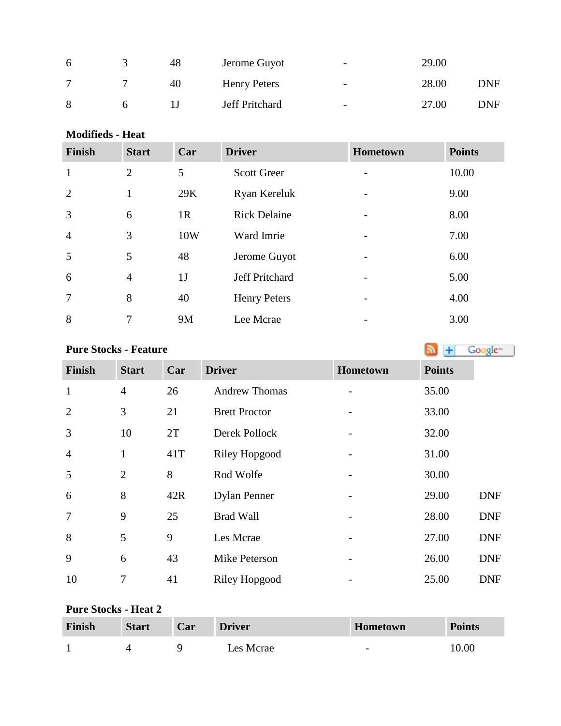| <sub>6</sub> | 48 | Jerome Guyot          | $\overline{\phantom{0}}$ | 29.00 |            |
|--------------|----|-----------------------|--------------------------|-------|------------|
|              | 40 | <b>Henry Peters</b>   | $\overline{\phantom{0}}$ | 28.00 | <b>DNF</b> |
| 8            |    | <b>Jeff Pritchard</b> | $\overline{\phantom{0}}$ | 27.00 | DNF        |

**Modifieds - Heat**

| <b>Finish</b>  | <b>Start</b>   | Car       | <b>Driver</b>       | <b>Hometown</b> | <b>Points</b> |
|----------------|----------------|-----------|---------------------|-----------------|---------------|
| $\mathbf{1}$   | $\overline{2}$ | 5         | <b>Scott Greer</b>  |                 | 10.00         |
| $\overline{2}$ | 1              | 29K       | Ryan Kereluk        |                 | 9.00          |
| 3              | 6              | 1R        | <b>Rick Delaine</b> |                 | 8.00          |
| $\overline{4}$ | 3              | 10W       | Ward Imrie          |                 | 7.00          |
| 5              | 5              | 48        | Jerome Guyot        |                 | 6.00          |
| 6              | $\overline{4}$ | 1J        | Jeff Pritchard      |                 | 5.00          |
| $\overline{7}$ | 8              | 40        | <b>Henry Peters</b> |                 | 4.00          |
| 8              | 7              | <b>9M</b> | Lee Mcrae           |                 | 3.00          |

# **PureStocks - Feature Algebra 2019 Constant 1 Constant 1 Constant 1 Constant 1 Constant 1 Constant 1 Constant 1 Constant 1 Constant 1 Constant 1 Constant 1 Constant 1 Constant 1 Constant 1**

| <b>Finish</b>  | <b>Start</b>   | Car | <b>Driver</b>        | Hometown | <b>Points</b> |            |
|----------------|----------------|-----|----------------------|----------|---------------|------------|
| $\mathbf{1}$   | $\overline{4}$ | 26  | <b>Andrew Thomas</b> |          | 35.00         |            |
| $\overline{2}$ | 3              | 21  | <b>Brett Proctor</b> |          | 33.00         |            |
| 3              | 10             | 2T  | Derek Pollock        |          | 32.00         |            |
| $\overline{4}$ | $\mathbf{1}$   | 41T | <b>Riley Hopgood</b> |          | 31.00         |            |
| 5              | $\overline{2}$ | 8   | Rod Wolfe            |          | 30.00         |            |
| 6              | 8              | 42R | <b>Dylan Penner</b>  |          | 29.00         | <b>DNF</b> |
| $\overline{7}$ | 9              | 25  | <b>Brad Wall</b>     |          | 28.00         | <b>DNF</b> |
| 8              | 5              | 9   | Les Mcrae            |          | 27.00         | <b>DNF</b> |
| 9              | 6              | 43  | Mike Peterson        |          | 26.00         | <b>DNF</b> |
| 10             | 7              | 41  | Riley Hopgood        |          | 25.00         | <b>DNF</b> |

## **Pure Stocks - Heat 2**

| Finish | <b>Start</b> | Car | <b>Driver</b> | Hometown                 | <b>Points</b> |
|--------|--------------|-----|---------------|--------------------------|---------------|
|        |              |     | Les Mcrae     | $\overline{\phantom{0}}$ | 10.00         |